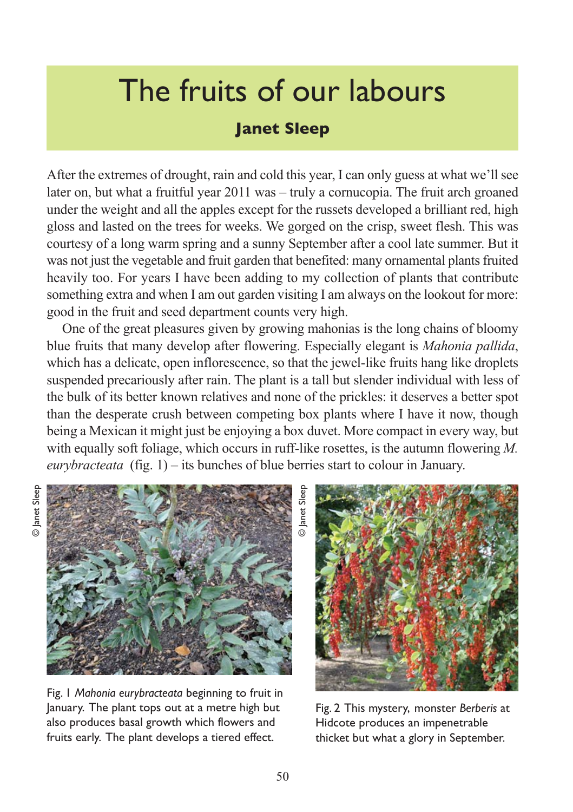## The fruits of our labours

## **Janet Sleep**

After the extremes of drought, rain and cold this year, I can only guess at what we'll see later on, but what a fruitful year 2011 was – truly a cornucopia. The fruit arch groaned under the weight and all the apples except for the russets developed a brilliant red, high gloss and lasted on the trees for weeks. We gorged on the crisp, sweet flesh. This was courtesy of a long warm spring and a sunny September after a cool late summer. But it was not just the vegetable and fruit garden that benefited: many ornamental plants fruited heavily too. For years I have been adding to my collection of plants that contribute something extra and when I am out garden visiting I am always on the lookout for more: good in the fruit and seed department counts very high.

One of the great pleasures given by growing mahonias is the long chains of bloomy blue fruits that many develop after flowering. Especially elegant is *Mahonia pallida*, which has a delicate, open inflorescence, so that the jewel-like fruits hang like droplets suspended precariously after rain. The plant is a tall but slender individual with less of the bulk of its better known relatives and none of the prickles: it deserves a better spot than the desperate crush between competing box plants where I have it now, though being a Mexican it might just be enjoying a box duvet. More compact in every way, but with equally soft foliage, which occurs in ruff-like rosettes, is the autumn flowering *M. eurybracteata* (fig. 1) – its bunches of blue berries start to colour in January.



Fig. 1 *Mahonia eurybracteata* beginning to fruit in January. The plant tops out at a metre high but also produces basal growth which flowers and fruits early. The plant develops a tiered effect.

Fig. 2 This mystery, monster *Berberis* at Hidcote produces an impenetrable thicket but what a glory in September.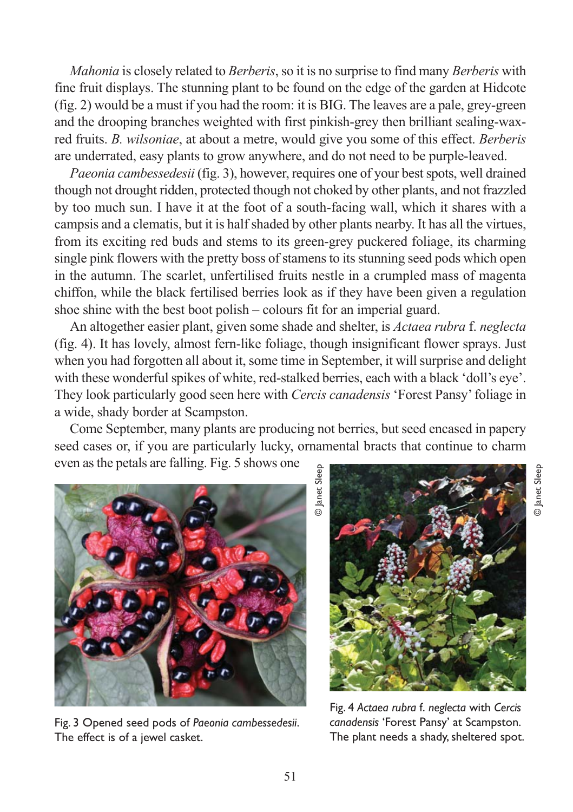*Mahonia* is closely related to *Berberis*, so it is no surprise to find many *Berberis* with fine fruit displays. The stunning plant to be found on the edge of the garden at Hidcote (fig. 2) would be a must if you had the room: it is BIG. The leaves are a pale, grey-green and the drooping branches weighted with first pinkish-grey then brilliant sealing-waxred fruits. *B. wilsoniae*, at about a metre, would give you some of this effect. *Berberis* are underrated, easy plants to grow anywhere, and do not need to be purple-leaved.

*Paeonia cambessedesii* (fig. 3), however, requires one of your best spots, well drained though not drought ridden, protected though not choked by other plants, and not frazzled by too much sun. I have it at the foot of a south-facing wall, which it shares with a campsis and a clematis, but it is half shaded by other plants nearby. It has all the virtues, from its exciting red buds and stems to its green-grey puckered foliage, its charming single pink flowers with the pretty boss of stamens to its stunning seed pods which open in the autumn. The scarlet, unfertilised fruits nestle in a crumpled mass of magenta chiffon, while the black fertilised berries look as if they have been given a regulation shoe shine with the best boot polish – colours fit for an imperial guard.

An altogether easier plant, given some shade and shelter, is *Actaea rubra* f. *neglecta* (fig. 4). It has lovely, almost fern-like foliage, though insignificant flower sprays. Just when you had forgotten all about it, some time in September, it will surprise and delight with these wonderful spikes of white, red-stalked berries, each with a black 'doll's eye'. They look particularly good seen here with *Cercis canadensis* 'Forest Pansy' foliage in a wide, shady border at Scampston.

Come September, many plants are producing not berries, but seed encased in papery seed cases or, if you are particularly lucky, ornamental bracts that continue to charm even as the petals are falling. Fig. 5 shows one



Fig. 3 Opened seed pods of *Paeonia cambessedesii*. The effect is of a jewel casket.

© Janet Sleep



© Janet Sleep

**D** Janet Sleep

Fig. 4 *Actaea rubra* f. *neglecta* with *Cercis canadensis* 'Forest Pansy' at Scampston. The plant needs a shady, sheltered spot.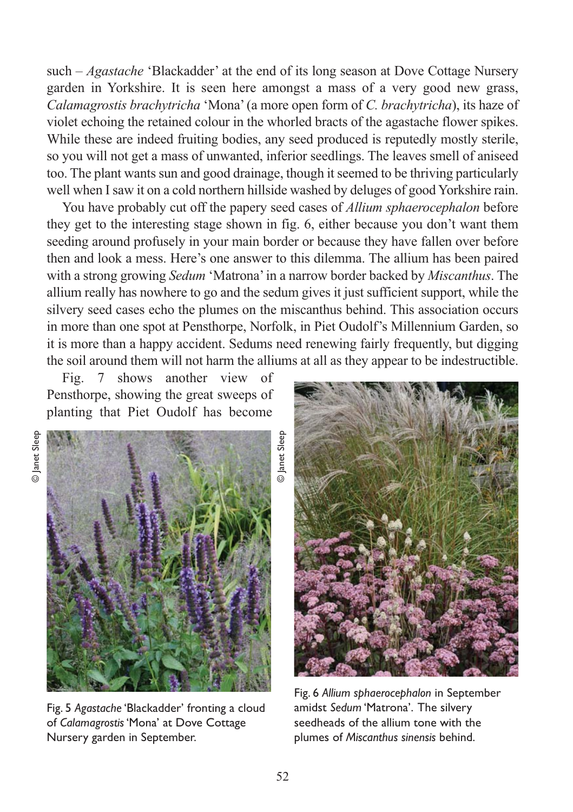such – *Agastache* 'Blackadder' at the end of its long season at Dove Cottage Nursery garden in Yorkshire. It is seen here amongst a mass of a very good new grass, *Calamagrostis brachytricha* 'Mona' (a more open form of *C. brachytricha*), its haze of violet echoing the retained colour in the whorled bracts of the agastache flower spikes. While these are indeed fruiting bodies, any seed produced is reputedly mostly sterile, so you will not get a mass of unwanted, inferior seedlings. The leaves smell of aniseed too. The plant wants sun and good drainage, though it seemed to be thriving particularly well when I saw it on a cold northern hillside washed by deluges of good Yorkshire rain.

You have probably cut off the papery seed cases of *Allium sphaerocephalon* before they get to the interesting stage shown in fig. 6, either because you don't want them seeding around profusely in your main border or because they have fallen over before then and look a mess. Here's one answer to this dilemma. The allium has been paired with a strong growing *Sedum* 'Matrona' in a narrow border backed by *Miscanthus*. The allium really has nowhere to go and the sedum gives it just sufficient support, while the silvery seed cases echo the plumes on the miscanthus behind. This association occurs in more than one spot at Pensthorpe, Norfolk, in Piet Oudolf's Millennium Garden, so it is more than a happy accident. Sedums need renewing fairly frequently, but digging the soil around them will not harm the alliums at all as they appear to be indestructible.

Fig. 7 shows another view of Pensthorpe, showing the great sweeps of planting that Piet Oudolf has become





Fig. 5 *Agastache* 'Blackadder' fronting a cloud of *Calamagrostis* 'Mona' at Dove Cottage Nursery garden in September.



Fig. 6 *Allium sphaerocephalon* in September amidst *Sedum* 'Matrona'. The silvery seedheads of the allium tone with the plumes of *Miscanthus sinensis* behind.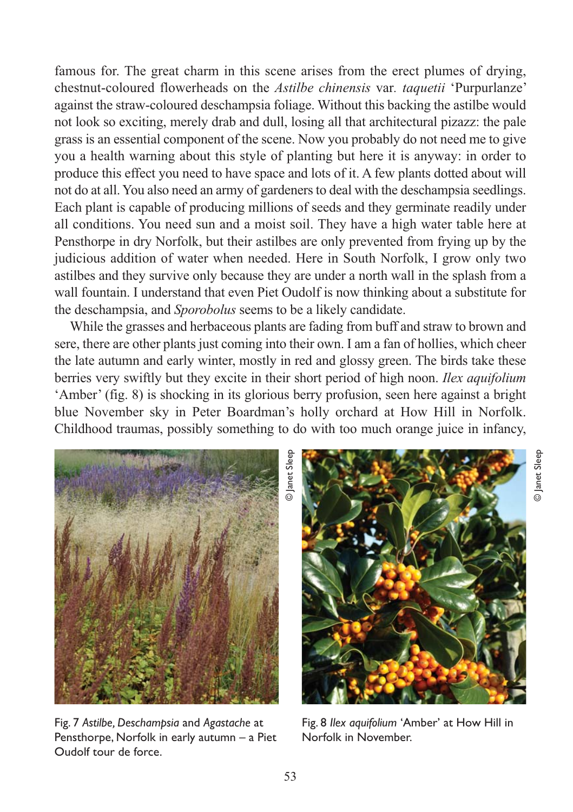famous for. The great charm in this scene arises from the erect plumes of drying, chestnut-coloured flowerheads on the *Astilbe chinensis* var*. taquetii* 'Purpurlanze' against the straw-coloured deschampsia foliage. Without this backing the astilbe would not look so exciting, merely drab and dull, losing all that architectural pizazz: the pale grass is an essential component of the scene. Now you probably do not need me to give you a health warning about this style of planting but here it is anyway: in order to produce this effect you need to have space and lots of it. A few plants dotted about will not do at all. You also need an army of gardeners to deal with the deschampsia seedlings. Each plant is capable of producing millions of seeds and they germinate readily under all conditions. You need sun and a moist soil. They have a high water table here at Pensthorpe in dry Norfolk, but their astilbes are only prevented from frying up by the judicious addition of water when needed. Here in South Norfolk, I grow only two astilbes and they survive only because they are under a north wall in the splash from a wall fountain. I understand that even Piet Oudolf is now thinking about a substitute for the deschampsia, and *Sporobolus* seems to be a likely candidate.

While the grasses and herbaceous plants are fading from buff and straw to brown and sere, there are other plants just coming into their own. I am a fan of hollies, which cheer the late autumn and early winter, mostly in red and glossy green. The birds take these berries very swiftly but they excite in their short period of high noon. *Ilex aquifolium* 'Amber' (fig. 8) is shocking in its glorious berry profusion, seen here against a bright blue November sky in Peter Boardman's holly orchard at How Hill in Norfolk. Childhood traumas, possibly something to do with too much orange juice in infancy,



Fig. 7 *Astilbe, Deschampsia* and *Agastache* at Pensthorpe, Norfolk in early autumn – a Piet Oudolf tour de force.

**D** Janet Sleep © Janet Sleep

Fig. 8 *Ilex aquifolium* 'Amber' at How Hill in Norfolk in November.